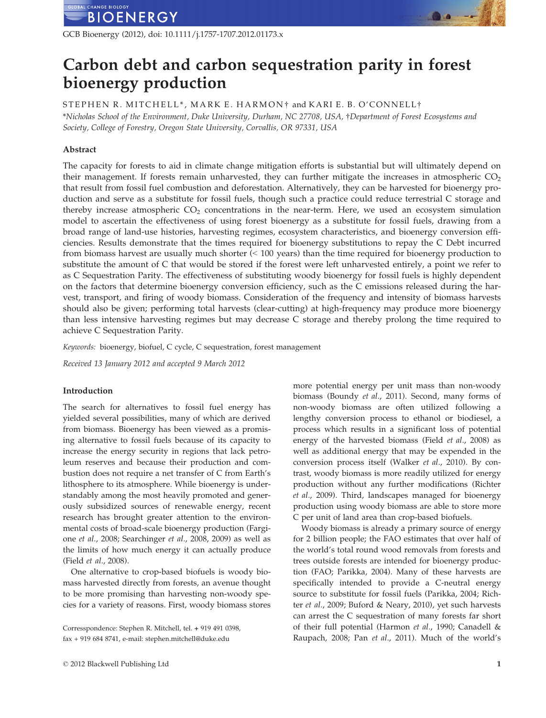

GCB Bioenergy (2012), doi: 10.1111/j.1757-1707.2012.01173.x

# Carbon debt and carbon sequestration parity in forest bioenergy production

STEPHEN R. MITCHELL\*, MARK E. HARMON† and KARI E. B. O'CONNELL† \*Nicholas School of the Environment, Duke University, Durham, NC 27708, USA, †Department of Forest Ecosystems and Society, College of Forestry, Oregon State University, Corvallis, OR 97331, USA

# Abstract

The capacity for forests to aid in climate change mitigation efforts is substantial but will ultimately depend on their management. If forests remain unharvested, they can further mitigate the increases in atmospheric  $CO<sub>2</sub>$ that result from fossil fuel combustion and deforestation. Alternatively, they can be harvested for bioenergy production and serve as a substitute for fossil fuels, though such a practice could reduce terrestrial C storage and thereby increase atmospheric  $CO<sub>2</sub>$  concentrations in the near-term. Here, we used an ecosystem simulation model to ascertain the effectiveness of using forest bioenergy as a substitute for fossil fuels, drawing from a broad range of land-use histories, harvesting regimes, ecosystem characteristics, and bioenergy conversion efficiencies. Results demonstrate that the times required for bioenergy substitutions to repay the C Debt incurred from biomass harvest are usually much shorter (< 100 years) than the time required for bioenergy production to substitute the amount of C that would be stored if the forest were left unharvested entirely, a point we refer to as C Sequestration Parity. The effectiveness of substituting woody bioenergy for fossil fuels is highly dependent on the factors that determine bioenergy conversion efficiency, such as the C emissions released during the harvest, transport, and firing of woody biomass. Consideration of the frequency and intensity of biomass harvests should also be given; performing total harvests (clear-cutting) at high-frequency may produce more bioenergy than less intensive harvesting regimes but may decrease C storage and thereby prolong the time required to achieve C Sequestration Parity.

Keywords: bioenergy, biofuel, C cycle, C sequestration, forest management

Received 13 January 2012 and accepted 9 March 2012

# Introduction

The search for alternatives to fossil fuel energy has yielded several possibilities, many of which are derived from biomass. Bioenergy has been viewed as a promising alternative to fossil fuels because of its capacity to increase the energy security in regions that lack petroleum reserves and because their production and combustion does not require a net transfer of C from Earth's lithosphere to its atmosphere. While bioenergy is understandably among the most heavily promoted and generously subsidized sources of renewable energy, recent research has brought greater attention to the environmental costs of broad-scale bioenergy production (Fargione et al., 2008; Searchinger et al., 2008, 2009) as well as the limits of how much energy it can actually produce (Field et al., 2008).

One alternative to crop-based biofuels is woody biomass harvested directly from forests, an avenue thought to be more promising than harvesting non-woody species for a variety of reasons. First, woody biomass stores

Corresspondence: Stephen R. Mitchell, tel. + 919 491 0398, fax + 919 684 8741, e-mail: stephen.mitchell@duke.edu

more potential energy per unit mass than non-woody biomass (Boundy et al., 2011). Second, many forms of non-woody biomass are often utilized following a lengthy conversion process to ethanol or biodiesel, a process which results in a significant loss of potential energy of the harvested biomass (Field et al., 2008) as well as additional energy that may be expended in the conversion process itself (Walker et al., 2010). By contrast, woody biomass is more readily utilized for energy production without any further modifications (Richter et al., 2009). Third, landscapes managed for bioenergy production using woody biomass are able to store more C per unit of land area than crop-based biofuels.

Woody biomass is already a primary source of energy for 2 billion people; the FAO estimates that over half of the world's total round wood removals from forests and trees outside forests are intended for bioenergy production (FAO; Parikka, 2004). Many of these harvests are specifically intended to provide a C-neutral energy source to substitute for fossil fuels (Parikka, 2004; Richter et al., 2009; Buford & Neary, 2010), yet such harvests can arrest the C sequestration of many forests far short of their full potential (Harmon et al., 1990; Canadell & Raupach, 2008; Pan et al., 2011). Much of the world's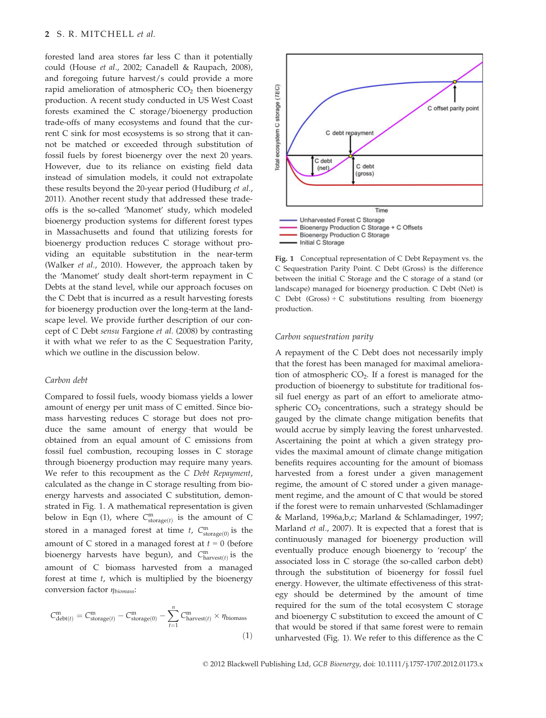# 2 S. R. MITCHELL et al.

forested land area stores far less C than it potentially could (House et al., 2002; Canadell & Raupach, 2008), and foregoing future harvest/s could provide a more rapid amelioration of atmospheric  $CO<sub>2</sub>$  then bioenergy production. A recent study conducted in US West Coast forests examined the C storage/bioenergy production trade-offs of many ecosystems and found that the current C sink for most ecosystems is so strong that it cannot be matched or exceeded through substitution of fossil fuels by forest bioenergy over the next 20 years. However, due to its reliance on existing field data instead of simulation models, it could not extrapolate these results beyond the 20-year period (Hudiburg et al., 2011). Another recent study that addressed these tradeoffs is the so-called 'Manomet' study, which modeled bioenergy production systems for different forest types in Massachusetts and found that utilizing forests for bioenergy production reduces C storage without providing an equitable substitution in the near-term (Walker et al., 2010). However, the approach taken by the 'Manomet' study dealt short-term repayment in C Debts at the stand level, while our approach focuses on the C Debt that is incurred as a result harvesting forests for bioenergy production over the long-term at the landscape level. We provide further description of our concept of C Debt sensu Fargione et al. (2008) by contrasting it with what we refer to as the C Sequestration Parity, which we outline in the discussion below.

## Carbon debt

Compared to fossil fuels, woody biomass yields a lower amount of energy per unit mass of C emitted. Since biomass harvesting reduces C storage but does not produce the same amount of energy that would be obtained from an equal amount of C emissions from fossil fuel combustion, recouping losses in C storage through bioenergy production may require many years. We refer to this recoupment as the C Debt Repayment, calculated as the change in C storage resulting from bioenergy harvests and associated C substitution, demonstrated in Fig. 1. A mathematical representation is given below in Eqn (1), where  $C_{\text{storage}(t)}^{\text{m}}$  is the amount of C stored in a managed forest at time t,  $C_{\text{storage}(0)}^{\text{m}}$  is the amount of C stored in a managed forest at  $t = 0$  (before bioenergy harvests have begun), and  $C_{\text{harvest}(t)}^{\text{m}}$  is the amount of C biomass harvested from a managed forest at time  $t$ , which is multiplied by the bioenergy conversion factor  $\eta_{biomass}$ :

$$
C_{\text{debt}(t)}^{\text{m}} = C_{\text{storage}(t)}^{\text{m}} - C_{\text{storage}(0)}^{\text{m}} - \sum_{t=1}^{n} C_{\text{harvest}(t)}^{\text{m}} \times \eta_{\text{biomass}}
$$
\n(1)



Fig. 1 Conceptual representation of C Debt Repayment vs. the C Sequestration Parity Point. C Debt (Gross) is the difference between the initial C Storage and the C storage of a stand (or landscape) managed for bioenergy production. C Debt (Net) is C Debt  $(Gross) + C$  substitutions resulting from bioenergy production.

#### Carbon sequestration parity

A repayment of the C Debt does not necessarily imply that the forest has been managed for maximal amelioration of atmospheric  $CO<sub>2</sub>$ . If a forest is managed for the production of bioenergy to substitute for traditional fossil fuel energy as part of an effort to ameliorate atmospheric  $CO<sub>2</sub>$  concentrations, such a strategy should be gauged by the climate change mitigation benefits that would accrue by simply leaving the forest unharvested. Ascertaining the point at which a given strategy provides the maximal amount of climate change mitigation benefits requires accounting for the amount of biomass harvested from a forest under a given management regime, the amount of C stored under a given management regime, and the amount of C that would be stored if the forest were to remain unharvested (Schlamadinger & Marland, 1996a,b,c; Marland & Schlamadinger, 1997; Marland et al., 2007). It is expected that a forest that is continuously managed for bioenergy production will eventually produce enough bioenergy to 'recoup' the associated loss in C storage (the so-called carbon debt) through the substitution of bioenergy for fossil fuel energy. However, the ultimate effectiveness of this strategy should be determined by the amount of time required for the sum of the total ecosystem C storage and bioenergy C substitution to exceed the amount of C that would be stored if that same forest were to remain unharvested (Fig. 1). We refer to this difference as the C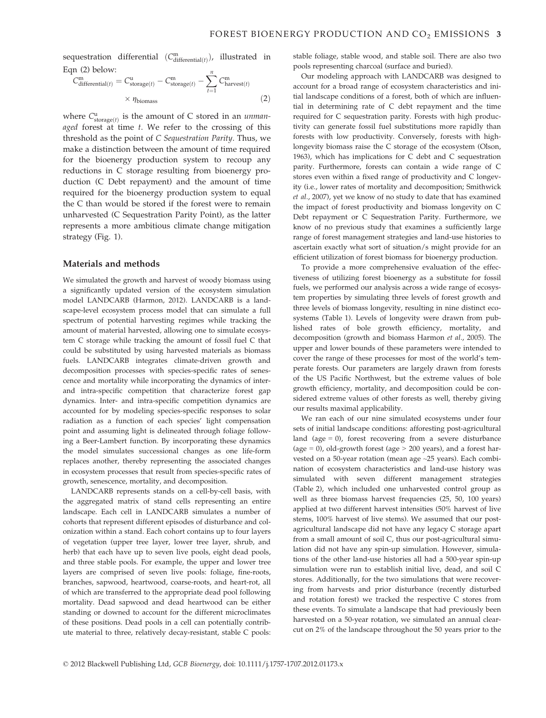sequestration differential  $(C_{\text{differential}(t)}^m)$ , illustrated in Eqn (2) below:

$$
C_{\text{differential}(t)}^{\text{m}} = C_{\text{storage}(t)}^{\text{u}} - C_{\text{storage}(t)}^{\text{m}} - \sum_{t=1}^{n} C_{\text{harvest}(t)}^{\text{m}}
$$

$$
\times \eta_{\text{biomass}}
$$
(2)

where  $C_{\text{storage}(t)}^{\text{u}}$  is the amount of C stored in an *unman-*<br>aged forest at time t. We refer to the crossing of this aged forest at time  $t$ . We refer to the crossing of this threshold as the point of C Sequestration Parity. Thus, we make a distinction between the amount of time required for the bioenergy production system to recoup any reductions in C storage resulting from bioenergy production (C Debt repayment) and the amount of time required for the bioenergy production system to equal the C than would be stored if the forest were to remain unharvested (C Sequestration Parity Point), as the latter represents a more ambitious climate change mitigation strategy (Fig. 1).

## Materials and methods

We simulated the growth and harvest of woody biomass using a significantly updated version of the ecosystem simulation model LANDCARB (Harmon, 2012). LANDCARB is a landscape-level ecosystem process model that can simulate a full spectrum of potential harvesting regimes while tracking the amount of material harvested, allowing one to simulate ecosystem C storage while tracking the amount of fossil fuel C that could be substituted by using harvested materials as biomass fuels. LANDCARB integrates climate-driven growth and decomposition processes with species-specific rates of senescence and mortality while incorporating the dynamics of interand intra-specific competition that characterize forest gap dynamics. Inter- and intra-specific competition dynamics are accounted for by modeling species-specific responses to solar radiation as a function of each species' light compensation point and assuming light is delineated through foliage following a Beer-Lambert function. By incorporating these dynamics the model simulates successional changes as one life-form replaces another, thereby representing the associated changes in ecosystem processes that result from species-specific rates of growth, senescence, mortality, and decomposition.

LANDCARB represents stands on a cell-by-cell basis, with the aggregated matrix of stand cells representing an entire landscape. Each cell in LANDCARB simulates a number of cohorts that represent different episodes of disturbance and colonization within a stand. Each cohort contains up to four layers of vegetation (upper tree layer, lower tree layer, shrub, and herb) that each have up to seven live pools, eight dead pools, and three stable pools. For example, the upper and lower tree layers are comprised of seven live pools: foliage, fine-roots, branches, sapwood, heartwood, coarse-roots, and heart-rot, all of which are transferred to the appropriate dead pool following mortality. Dead sapwood and dead heartwood can be either standing or downed to account for the different microclimates of these positions. Dead pools in a cell can potentially contribute material to three, relatively decay-resistant, stable C pools: stable foliage, stable wood, and stable soil. There are also two pools representing charcoal (surface and buried).

Our modeling approach with LANDCARB was designed to account for a broad range of ecosystem characteristics and initial landscape conditions of a forest, both of which are influential in determining rate of C debt repayment and the time required for C sequestration parity. Forests with high productivity can generate fossil fuel substitutions more rapidly than forests with low productivity. Conversely, forests with highlongevity biomass raise the C storage of the ecosystem (Olson, 1963), which has implications for C debt and C sequestration parity. Furthermore, forests can contain a wide range of C stores even within a fixed range of productivity and C longevity (i.e., lower rates of mortality and decomposition; Smithwick et al., 2007), yet we know of no study to date that has examined the impact of forest productivity and biomass longevity on C Debt repayment or C Sequestration Parity. Furthermore, we know of no previous study that examines a sufficiently large range of forest management strategies and land-use histories to ascertain exactly what sort of situation/s might provide for an efficient utilization of forest biomass for bioenergy production.

To provide a more comprehensive evaluation of the effectiveness of utilizing forest bioenergy as a substitute for fossil fuels, we performed our analysis across a wide range of ecosystem properties by simulating three levels of forest growth and three levels of biomass longevity, resulting in nine distinct ecosystems (Table 1). Levels of longevity were drawn from published rates of bole growth efficiency, mortality, and decomposition (growth and biomass Harmon et al., 2005). The upper and lower bounds of these parameters were intended to cover the range of these processes for most of the world's temperate forests. Our parameters are largely drawn from forests of the US Pacific Northwest, but the extreme values of bole growth efficiency, mortality, and decomposition could be considered extreme values of other forests as well, thereby giving our results maximal applicability.

We ran each of our nine simulated ecosystems under four sets of initial landscape conditions: afforesting post-agricultural land (age  $= 0$ ), forest recovering from a severe disturbance (age  $= 0$ ), old-growth forest (age  $> 200$  years), and a forest harvested on a 50-year rotation (mean age ~25 years). Each combination of ecosystem characteristics and land-use history was simulated with seven different management strategies (Table 2), which included one unharvested control group as well as three biomass harvest frequencies (25, 50, 100 years) applied at two different harvest intensities (50% harvest of live stems, 100% harvest of live stems). We assumed that our postagricultural landscape did not have any legacy C storage apart from a small amount of soil C, thus our post-agricultural simulation did not have any spin-up simulation. However, simulations of the other land-use histories all had a 500-year spin-up simulation were run to establish initial live, dead, and soil C stores. Additionally, for the two simulations that were recovering from harvests and prior disturbance (recently disturbed and rotation forest) we tracked the respective C stores from these events. To simulate a landscape that had previously been harvested on a 50-year rotation, we simulated an annual clearcut on 2% of the landscape throughout the 50 years prior to the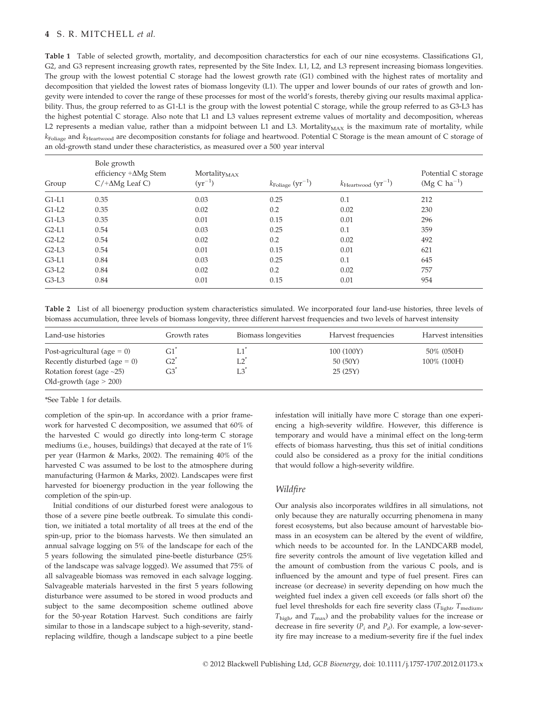# 4 S. R. MITCHELL et al.

Table 1 Table of selected growth, mortality, and decomposition characterstics for each of our nine ecosystems. Classifications G1, G2, and G3 represent increasing growth rates, represented by the Site Index. L1, L2, and L3 represent increasing biomass longevities. The group with the lowest potential C storage had the lowest growth rate (G1) combined with the highest rates of mortality and decomposition that yielded the lowest rates of biomass longevity (L1). The upper and lower bounds of our rates of growth and longevity were intended to cover the range of these processes for most of the world's forests, thereby giving our results maximal applicability. Thus, the group referred to as G1-L1 is the group with the lowest potential C storage, while the group referred to as G3-L3 has the highest potential C storage. Also note that L1 and L3 values represent extreme values of mortality and decomposition, whereas L2 represents a median value, rather than a midpoint between L1 and L3. Mortality $_{MAX}$  is the maximum rate of mortality, while  $k_{\text{Foliage}}$  and  $k_{\text{Heartwood}}$  are decomposition constants for foliage and heartwood. Potential C Storage is the mean amount of C storage of an old-growth stand under these characteristics, as measured over a 500 year interval

| Group   | Bole growth<br>efficiency $+\Delta Mg$ Stem<br>$C/+\Delta Mg$ Leaf C) | Mortality <sub>MAX</sub><br>$(yr^{-1})$ | $k_{\text{Foliage}} (\text{yr}^{-1})$ | $k_{\text{Heartwood}}$ (yr <sup>-1</sup> ) | Potential C storage<br>$(Mg C ha^{-1})$ |
|---------|-----------------------------------------------------------------------|-----------------------------------------|---------------------------------------|--------------------------------------------|-----------------------------------------|
| $G1-L1$ | 0.35                                                                  | 0.03                                    | 0.25                                  | 0.1                                        | 212                                     |
| $G1-L2$ | 0.35                                                                  | 0.02                                    | 0.2                                   | 0.02                                       | 230                                     |
| $G1-L3$ | 0.35                                                                  | 0.01                                    | 0.15                                  | 0.01                                       | 296                                     |
| $G2-L1$ | 0.54                                                                  | 0.03                                    | 0.25                                  | 0.1                                        | 359                                     |
| $G2-L2$ | 0.54                                                                  | 0.02                                    | 0.2                                   | 0.02                                       | 492                                     |
| $G2-L3$ | 0.54                                                                  | 0.01                                    | 0.15                                  | 0.01                                       | 621                                     |
| $G3-L1$ | 0.84                                                                  | 0.03                                    | 0.25                                  | 0.1                                        | 645                                     |
| $G3-L2$ | 0.84                                                                  | 0.02                                    | 0.2                                   | 0.02                                       | 757                                     |
| $G3-L3$ | 0.84                                                                  | 0.01                                    | 0.15                                  | 0.01                                       | 954                                     |

Table 2 List of all bioenergy production system characteristics simulated. We incorporated four land-use histories, three levels of biomass accumulation, three levels of biomass longevity, three different harvest frequencies and two levels of harvest intensity

| Land-use histories                                           | Growth rates | Biomass longevities | Harvest frequencies | Harvest intensities |
|--------------------------------------------------------------|--------------|---------------------|---------------------|---------------------|
| Post-agricultural (age $= 0$ )                               | G1           | L1.                 | 100 (100Y)          | 50\% (050H)         |
| Recently disturbed (age $= 0$ )                              | $G2^*$       | L2Ï                 | 50(50Y)             | 100% (100H)         |
| Rotation forest (age $\sim$ 25)<br>Old-growth (age $> 200$ ) | $G3^*$       | $1.3^{\circ}$       | 25(25Y)             |                     |

\*See Table 1 for details.

completion of the spin-up. In accordance with a prior framework for harvested C decomposition, we assumed that 60% of the harvested C would go directly into long-term C storage mediums (i.e., houses, buildings) that decayed at the rate of 1% per year (Harmon & Marks, 2002). The remaining 40% of the harvested C was assumed to be lost to the atmosphere during manufacturing (Harmon & Marks, 2002). Landscapes were first harvested for bioenergy production in the year following the completion of the spin-up.

Initial conditions of our disturbed forest were analogous to those of a severe pine beetle outbreak. To simulate this condition, we initiated a total mortality of all trees at the end of the spin-up, prior to the biomass harvests. We then simulated an annual salvage logging on 5% of the landscape for each of the 5 years following the simulated pine-beetle disturbance (25% of the landscape was salvage logged). We assumed that 75% of all salvageable biomass was removed in each salvage logging. Salvageable materials harvested in the first 5 years following disturbance were assumed to be stored in wood products and subject to the same decomposition scheme outlined above for the 50-year Rotation Harvest. Such conditions are fairly similar to those in a landscape subject to a high-severity, standreplacing wildfire, though a landscape subject to a pine beetle infestation will initially have more C storage than one experiencing a high-severity wildfire. However, this difference is temporary and would have a minimal effect on the long-term effects of biomass harvesting, thus this set of initial conditions could also be considered as a proxy for the initial conditions that would follow a high-severity wildfire.

## Wildfire

Our analysis also incorporates wildfires in all simulations, not only because they are naturally occurring phenomena in many forest ecosystems, but also because amount of harvestable biomass in an ecosystem can be altered by the event of wildfire, which needs to be accounted for. In the LANDCARB model, fire severity controls the amount of live vegetation killed and the amount of combustion from the various C pools, and is influenced by the amount and type of fuel present. Fires can increase (or decrease) in severity depending on how much the weighted fuel index a given cell exceeds (or falls short of) the fuel level thresholds for each fire severity class ( $T_{\text{light}}$ ,  $T_{\text{medium}}$ ,  $T_{\text{high}}$ , and  $T_{\text{max}}$ ) and the probability values for the increase or decrease in fire severity  $(P_i \text{ and } P_d)$ . For example, a low-severity fire may increase to a medium-severity fire if the fuel index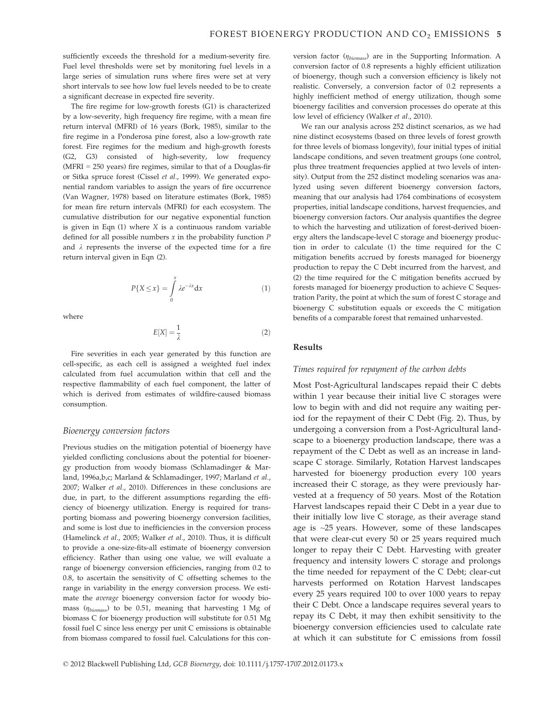sufficiently exceeds the threshold for a medium-severity fire. Fuel level thresholds were set by monitoring fuel levels in a large series of simulation runs where fires were set at very short intervals to see how low fuel levels needed to be to create a significant decrease in expected fire severity.

The fire regime for low-growth forests (G1) is characterized by a low-severity, high frequency fire regime, with a mean fire return interval (MFRI) of 16 years (Bork, 1985), similar to the fire regime in a Ponderosa pine forest, also a low-growth rate forest. Fire regimes for the medium and high-growth forests (G2, G3) consisted of high-severity, low frequency (MFRI = 250 years) fire regimes, similar to that of a Douglas-fir or Sitka spruce forest (Cissel et al., 1999). We generated exponential random variables to assign the years of fire occurrence (Van Wagner, 1978) based on literature estimates (Bork, 1985) for mean fire return intervals (MFRI) for each ecosystem. The cumulative distribution for our negative exponential function is given in Eqn  $(1)$  where X is a continuous random variable defined for all possible numbers  $x$  in the probability function  $P$ and  $\lambda$  represents the inverse of the expected time for a fire return interval given in Eqn (2).

$$
P\{X \le x\} = \int\limits_{0}^{x} \lambda e^{-\lambda x} \mathrm{d}x \tag{1}
$$

where

$$
E[X] = \frac{1}{\lambda} \tag{2}
$$

Fire severities in each year generated by this function are cell-specific, as each cell is assigned a weighted fuel index calculated from fuel accumulation within that cell and the respective flammability of each fuel component, the latter of which is derived from estimates of wildfire-caused biomass consumption.

#### Bioenergy conversion factors

Previous studies on the mitigation potential of bioenergy have yielded conflicting conclusions about the potential for bioenergy production from woody biomass (Schlamadinger & Marland, 1996a,b,c; Marland & Schlamadinger, 1997; Marland et al., 2007; Walker et al., 2010). Differences in these conclusions are due, in part, to the different assumptions regarding the efficiency of bioenergy utilization. Energy is required for transporting biomass and powering bioenergy conversion facilities, and some is lost due to inefficiencies in the conversion process (Hamelinck et al., 2005; Walker et al., 2010). Thus, it is difficult to provide a one-size-fits-all estimate of bioenergy conversion efficiency. Rather than using one value, we will evaluate a range of bioenergy conversion efficiencies, ranging from 0.2 to 0.8, to ascertain the sensitivity of C offsetting schemes to the range in variability in the energy conversion process. We estimate the average bioenergy conversion factor for woody biomass ( $\eta_{biomass}$ ) to be 0.51, meaning that harvesting 1 Mg of biomass C for bioenergy production will substitute for 0.51 Mg fossil fuel C since less energy per unit C emissions is obtainable from biomass compared to fossil fuel. Calculations for this conversion factor  $(\eta_{biomass})$  are in the Supporting Information. A conversion factor of 0.8 represents a highly efficient utilization of bioenergy, though such a conversion efficiency is likely not realistic. Conversely, a conversion factor of 0.2 represents a highly inefficient method of energy utilization, though some bioenergy facilities and conversion processes do operate at this low level of efficiency (Walker et al., 2010).

We ran our analysis across 252 distinct scenarios, as we had nine distinct ecosystems (based on three levels of forest growth for three levels of biomass longevity), four initial types of initial landscape conditions, and seven treatment groups (one control, plus three treatment frequencies applied at two levels of intensity). Output from the 252 distinct modeling scenarios was analyzed using seven different bioenergy conversion factors, meaning that our analysis had 1764 combinations of ecosystem properties, initial landscape conditions, harvest frequencies, and bioenergy conversion factors. Our analysis quantifies the degree to which the harvesting and utilization of forest-derived bioenergy alters the landscape-level C storage and bioenergy production in order to calculate (1) the time required for the C mitigation benefits accrued by forests managed for bioenergy production to repay the C Debt incurred from the harvest, and (2) the time required for the C mitigation benefits accrued by forests managed for bioenergy production to achieve C Sequestration Parity, the point at which the sum of forest C storage and bioenergy C substitution equals or exceeds the C mitigation benefits of a comparable forest that remained unharvested.

# Results

#### Times required for repayment of the carbon debts

Most Post-Agricultural landscapes repaid their C debts within 1 year because their initial live C storages were low to begin with and did not require any waiting period for the repayment of their C Debt (Fig. 2). Thus, by undergoing a conversion from a Post-Agricultural landscape to a bioenergy production landscape, there was a repayment of the C Debt as well as an increase in landscape C storage. Similarly, Rotation Harvest landscapes harvested for bioenergy production every 100 years increased their C storage, as they were previously harvested at a frequency of 50 years. Most of the Rotation Harvest landscapes repaid their C Debt in a year due to their initially low live C storage, as their average stand age is ~25 years. However, some of these landscapes that were clear-cut every 50 or 25 years required much longer to repay their C Debt. Harvesting with greater frequency and intensity lowers C storage and prolongs the time needed for repayment of the C Debt; clear-cut harvests performed on Rotation Harvest landscapes every 25 years required 100 to over 1000 years to repay their C Debt. Once a landscape requires several years to repay its C Debt, it may then exhibit sensitivity to the bioenergy conversion efficiencies used to calculate rate at which it can substitute for C emissions from fossil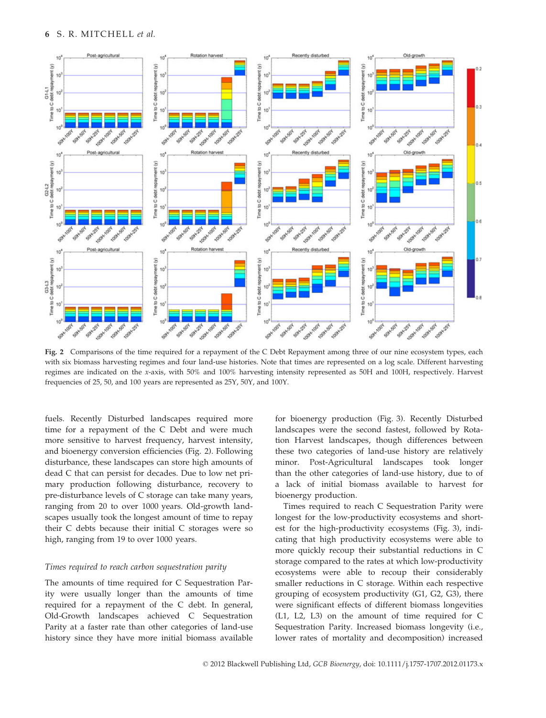

Fig. 2 Comparisons of the time required for a repayment of the C Debt Repayment among three of our nine ecosystem types, each with six biomass harvesting regimes and four land-use histories. Note that times are represented on a log scale. Different harvesting regimes are indicated on the x-axis, with 50% and 100% harvesting intensity represented as 50H and 100H, respectively. Harvest frequencies of 25, 50, and 100 years are represented as 25Y, 50Y, and 100Y.

fuels. Recently Disturbed landscapes required more time for a repayment of the C Debt and were much more sensitive to harvest frequency, harvest intensity, and bioenergy conversion efficiencies (Fig. 2). Following disturbance, these landscapes can store high amounts of dead C that can persist for decades. Due to low net primary production following disturbance, recovery to pre-disturbance levels of C storage can take many years, ranging from 20 to over 1000 years. Old-growth landscapes usually took the longest amount of time to repay their C debts because their initial C storages were so high, ranging from 19 to over 1000 years.

## Times required to reach carbon sequestration parity

The amounts of time required for C Sequestration Parity were usually longer than the amounts of time required for a repayment of the C debt. In general, Old-Growth landscapes achieved C Sequestration Parity at a faster rate than other categories of land-use history since they have more initial biomass available for bioenergy production (Fig. 3). Recently Disturbed landscapes were the second fastest, followed by Rotation Harvest landscapes, though differences between these two categories of land-use history are relatively minor. Post-Agricultural landscapes took longer than the other categories of land-use history, due to of a lack of initial biomass available to harvest for bioenergy production.

Times required to reach C Sequestration Parity were longest for the low-productivity ecosystems and shortest for the high-productivity ecosystems (Fig. 3), indicating that high productivity ecosystems were able to more quickly recoup their substantial reductions in C storage compared to the rates at which low-productivity ecosystems were able to recoup their considerably smaller reductions in C storage. Within each respective grouping of ecosystem productivity (G1, G2, G3), there were significant effects of different biomass longevities (L1, L2, L3) on the amount of time required for C Sequestration Parity. Increased biomass longevity (i.e., lower rates of mortality and decomposition) increased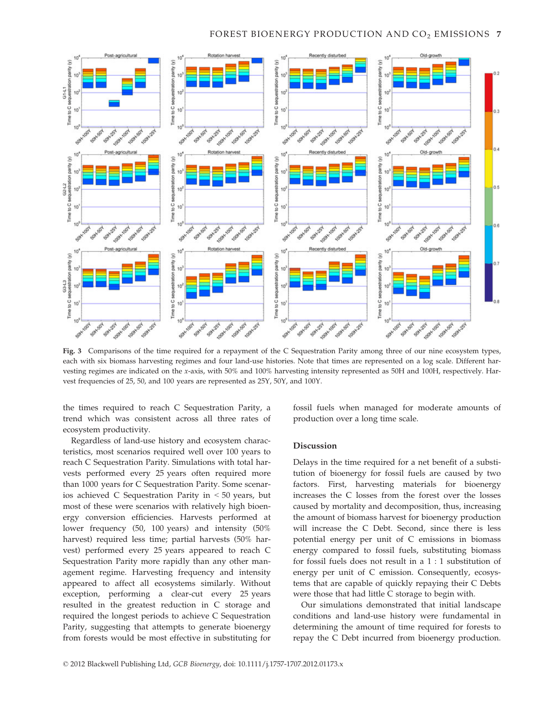

Fig. 3 Comparisons of the time required for a repayment of the C Sequestration Parity among three of our nine ecosystem types, each with six biomass harvesting regimes and four land-use histories. Note that times are represented on a log scale. Different harvesting regimes are indicated on the x-axis, with 50% and 100% harvesting intensity represented as 50H and 100H, respectively. Harvest frequencies of 25, 50, and 100 years are represented as 25Y, 50Y, and 100Y.

the times required to reach C Sequestration Parity, a trend which was consistent across all three rates of ecosystem productivity.

Regardless of land-use history and ecosystem characteristics, most scenarios required well over 100 years to reach C Sequestration Parity. Simulations with total harvests performed every 25 years often required more than 1000 years for C Sequestration Parity. Some scenarios achieved C Sequestration Parity in < 50 years, but most of these were scenarios with relatively high bioenergy conversion efficiencies. Harvests performed at lower frequency (50, 100 years) and intensity (50% harvest) required less time; partial harvests (50% harvest) performed every 25 years appeared to reach C Sequestration Parity more rapidly than any other management regime. Harvesting frequency and intensity appeared to affect all ecosystems similarly. Without exception, performing a clear-cut every 25 years resulted in the greatest reduction in C storage and required the longest periods to achieve C Sequestration Parity, suggesting that attempts to generate bioenergy from forests would be most effective in substituting for

fossil fuels when managed for moderate amounts of production over a long time scale.

## Discussion

Delays in the time required for a net benefit of a substitution of bioenergy for fossil fuels are caused by two factors. First, harvesting materials for bioenergy increases the C losses from the forest over the losses caused by mortality and decomposition, thus, increasing the amount of biomass harvest for bioenergy production will increase the C Debt. Second, since there is less potential energy per unit of C emissions in biomass energy compared to fossil fuels, substituting biomass for fossil fuels does not result in a 1 : 1 substitution of energy per unit of C emission. Consequently, ecosystems that are capable of quickly repaying their C Debts were those that had little C storage to begin with.

Our simulations demonstrated that initial landscape conditions and land-use history were fundamental in determining the amount of time required for forests to repay the C Debt incurred from bioenergy production.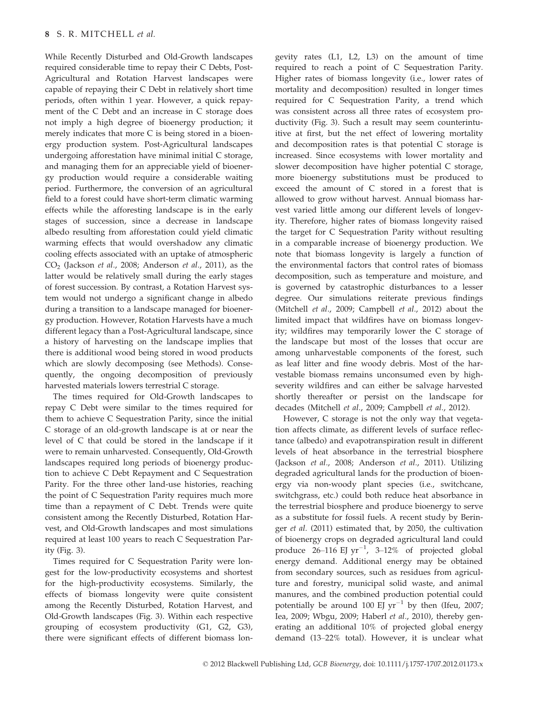While Recently Disturbed and Old-Growth landscapes required considerable time to repay their C Debts, Post-Agricultural and Rotation Harvest landscapes were capable of repaying their C Debt in relatively short time periods, often within 1 year. However, a quick repayment of the C Debt and an increase in C storage does not imply a high degree of bioenergy production; it merely indicates that more C is being stored in a bioenergy production system. Post-Agricultural landscapes undergoing afforestation have minimal initial C storage, and managing them for an appreciable yield of bioenergy production would require a considerable waiting period. Furthermore, the conversion of an agricultural field to a forest could have short-term climatic warming effects while the afforesting landscape is in the early stages of succession, since a decrease in landscape albedo resulting from afforestation could yield climatic warming effects that would overshadow any climatic cooling effects associated with an uptake of atmospheric  $CO<sub>2</sub>$  (Jackson *et al.*, 2008; Anderson *et al.*, 2011), as the latter would be relatively small during the early stages of forest succession. By contrast, a Rotation Harvest system would not undergo a significant change in albedo during a transition to a landscape managed for bioenergy production. However, Rotation Harvests have a much different legacy than a Post-Agricultural landscape, since a history of harvesting on the landscape implies that there is additional wood being stored in wood products which are slowly decomposing (see Methods). Consequently, the ongoing decomposition of previously harvested materials lowers terrestrial C storage.

The times required for Old-Growth landscapes to repay C Debt were similar to the times required for them to achieve C Sequestration Parity, since the initial C storage of an old-growth landscape is at or near the level of C that could be stored in the landscape if it were to remain unharvested. Consequently, Old-Growth landscapes required long periods of bioenergy production to achieve C Debt Repayment and C Sequestration Parity. For the three other land-use histories, reaching the point of C Sequestration Parity requires much more time than a repayment of C Debt. Trends were quite consistent among the Recently Disturbed, Rotation Harvest, and Old-Growth landscapes and most simulations required at least 100 years to reach C Sequestration Parity (Fig. 3).

Times required for C Sequestration Parity were longest for the low-productivity ecosystems and shortest for the high-productivity ecosystems. Similarly, the effects of biomass longevity were quite consistent among the Recently Disturbed, Rotation Harvest, and Old-Growth landscapes (Fig. 3). Within each respective grouping of ecosystem productivity (G1, G2, G3), there were significant effects of different biomass lon-

gevity rates (L1, L2, L3) on the amount of time required to reach a point of C Sequestration Parity. Higher rates of biomass longevity (i.e., lower rates of mortality and decomposition) resulted in longer times required for C Sequestration Parity, a trend which was consistent across all three rates of ecosystem productivity (Fig. 3). Such a result may seem counterintuitive at first, but the net effect of lowering mortality and decomposition rates is that potential C storage is increased. Since ecosystems with lower mortality and slower decomposition have higher potential C storage, more bioenergy substitutions must be produced to exceed the amount of C stored in a forest that is allowed to grow without harvest. Annual biomass harvest varied little among our different levels of longevity. Therefore, higher rates of biomass longevity raised the target for C Sequestration Parity without resulting in a comparable increase of bioenergy production. We note that biomass longevity is largely a function of the environmental factors that control rates of biomass decomposition, such as temperature and moisture, and is governed by catastrophic disturbances to a lesser degree. Our simulations reiterate previous findings (Mitchell et al., 2009; Campbell et al., 2012) about the limited impact that wildfires have on biomass longevity; wildfires may temporarily lower the C storage of the landscape but most of the losses that occur are among unharvestable components of the forest, such as leaf litter and fine woody debris. Most of the harvestable biomass remains unconsumed even by highseverity wildfires and can either be salvage harvested shortly thereafter or persist on the landscape for decades (Mitchell et al., 2009; Campbell et al., 2012).

However, C storage is not the only way that vegetation affects climate, as different levels of surface reflectance (albedo) and evapotranspiration result in different levels of heat absorbance in the terrestrial biosphere (Jackson et al., 2008; Anderson et al., 2011). Utilizing degraded agricultural lands for the production of bioenergy via non-woody plant species (i.e., switchcane, switchgrass, etc.) could both reduce heat absorbance in the terrestrial biosphere and produce bioenergy to serve as a substitute for fossil fuels. A recent study by Beringer et al. (2011) estimated that, by 2050, the cultivation of bioenergy crops on degraded agricultural land could produce  $26-116$  EJ yr<sup>-1</sup>,  $3-12\%$  of projected global energy demand. Additional energy may be obtained from secondary sources, such as residues from agriculture and forestry, municipal solid waste, and animal manures, and the combined production potential could potentially be around 100 EJ  $yr^{-1}$  by then (Ifeu, 2007; Iea, 2009; Wbgu, 2009; Haberl et al., 2010), thereby generating an additional 10% of projected global energy demand (13–22% total). However, it is unclear what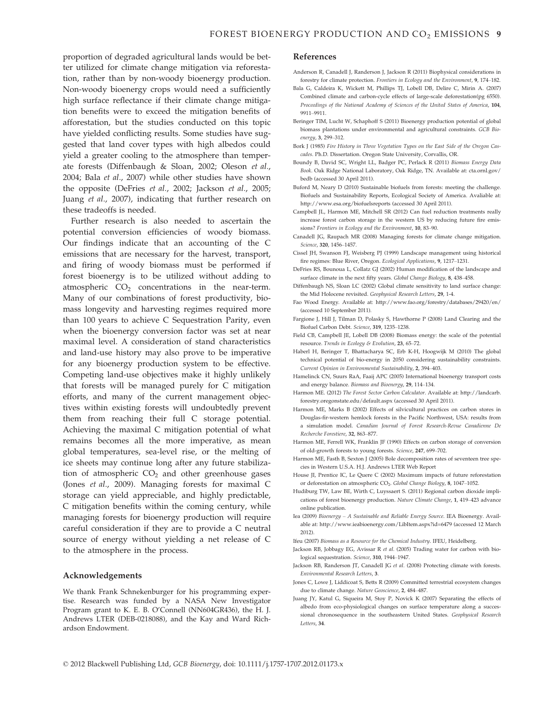proportion of degraded agricultural lands would be better utilized for climate change mitigation via reforestation, rather than by non-woody bioenergy production. Non-woody bioenergy crops would need a sufficiently high surface reflectance if their climate change mitigation benefits were to exceed the mitigation benefits of afforestation, but the studies conducted on this topic have yielded conflicting results. Some studies have suggested that land cover types with high albedos could yield a greater cooling to the atmosphere than temperate forests (Diffenbaugh & Sloan, 2002; Oleson et al., 2004; Bala et al., 2007) while other studies have shown the opposite (DeFries et al., 2002; Jackson et al., 2005; Juang et al., 2007), indicating that further research on these tradeoffs is needed.

Further research is also needed to ascertain the potential conversion efficiencies of woody biomass. Our findings indicate that an accounting of the C emissions that are necessary for the harvest, transport, and firing of woody biomass must be performed if forest bioenergy is to be utilized without adding to atmospheric  $CO<sub>2</sub>$  concentrations in the near-term. Many of our combinations of forest productivity, biomass longevity and harvesting regimes required more than 100 years to achieve C Sequestration Parity, even when the bioenergy conversion factor was set at near maximal level. A consideration of stand characteristics and land-use history may also prove to be imperative for any bioenergy production system to be effective. Competing land-use objectives make it highly unlikely that forests will be managed purely for C mitigation efforts, and many of the current management objectives within existing forests will undoubtedly prevent them from reaching their full C storage potential. Achieving the maximal C mitigation potential of what remains becomes all the more imperative, as mean global temperatures, sea-level rise, or the melting of ice sheets may continue long after any future stabilization of atmospheric  $CO<sub>2</sub>$  and other greenhouse gases (Jones et al., 2009). Managing forests for maximal C storage can yield appreciable, and highly predictable, C mitigation benefits within the coming century, while managing forests for bioenergy production will require careful consideration if they are to provide a C neutral source of energy without yielding a net release of C to the atmosphere in the process.

## Acknowledgements

We thank Frank Schnekenburger for his programming expertise. Research was funded by a NASA New Investigator Program grant to K. E. B. O'Connell (NN604GR436), the H. J. Andrews LTER (DEB-0218088), and the Kay and Ward Richardson Endowment.

#### References

- Anderson R, Canadell J, Randerson J, Jackson R (2011) Biophysical considerations in forestry for climate protection. Frontiers in Ecology and the Environment, 9, 174–182.
- Bala G, Caldeira K, Wickett M, Phillips TJ, Lobell DB, Delire C, Mirin A. (2007) Combined climate and carbon-cycle effects of large-scale deforestation(pg 6550). Proceedings of the National Academy of Sciences of the United States of America, 104, 9911–9911.
- Beringer TIM, Lucht W, Schaphoff S (2011) Bioenergy production potential of global biomass plantations under environmental and agricultural constraints. GCB Bioenergy, 3, 299–312.
- Bork J (1985) Fire History in Three Vegetation Types on the East Side of the Oregon Cascades. Ph.D. Dissertation. Oregon State University, Corvallis, OR.
- Boundy B, David SC, Wright LL, Badger PC, Perlack R (2011) Biomass Energy Data Book. Oak Ridge National Laboratory, Oak Ridge, TN. Available at: cta.ornl.gov/ bedb (accessed 30 April 2011).
- Buford M, Neary D (2010) Sustainable biofuels from forests: meeting the challenge. Biofuels and Sustainability Reports, Ecological Society of America. Avaliable at: http://www.esa.org/biofuelsreports (accessed 30 April 2011).
- Campbell JL, Harmon ME, Mitchell SR (2012) Can fuel reduction treatments really increase forest carbon storage in the western US by reducing future fire emissions? Frontiers in Ecology and the Environment, 10, 83–90.
- Canadell JG, Raupach MR (2008) Managing forests for climate change mitigation. Science, 320, 1456–1457.
- Cissel JH, Swanson FJ, Weisberg PJ (1999) Landscape management using historical fire regimes: Blue River, Oregon. Ecological Applications, 9, 1217–1231.
- DeFries RS, Bounoua L, Collatz GJ (2002) Human modification of the landscape and surface climate in the next fifty years. Global Change Biology, 8, 438–458.
- Diffenbaugh NS, Sloan LC (2002) Global climate sensitivity to land surface change: the Mid Holocene revisited. Geophysical Research Letters, 29, 1-4.
- Fao Wood Energy. Available at: http://www.fao.org/forestry/databases/29420/en/ (accessed 10 September 2011).
- Fargione J, Hill J, Tilman D, Polasky S, Hawthorne P (2008) Land Clearing and the Biofuel Carbon Debt. Science, 319, 1235–1238.
- Field CB, Campbell JE, Lobell DB (2008) Biomass energy: the scale of the potential resource. Trends in Ecology & Evolution, 23, 65–72.
- Haberl H, Beringer T, Bhattacharya SC, Erb K-H, Hoogwijk M (2010) The global technical potential of bio-energy in 2050 considering sustainability constraints. Current Opinion in Environmental Sustainability, 2, 394–403.
- Hamelinck CN, Suurs RaA, Faaij APC (2005) International bioenergy transport costs and energy balance. Biomass and Bioenergy, 29, 114–134.
- Harmon ME. (2012) The Forest Sector Carbon Calculator. Available at: http://landcarb. forestry.oregonstate.edu/default.aspx (accessed 30 April 2011).
- Harmon ME, Marks B (2002) Effects of silvicultural practices on carbon stores in Douglas-fir-western hemlock forests in the Pacific Northwest, USA: results from a simulation model. Canadian Journal of Forest Research-Revue Canadienne De Recherche Forestiere, 32, 863–877.
- Harmon ME, Ferrell WK, Franklin JF (1990) Effects on carbon storage of conversion of old-growth forests to young forests. Science, 247, 699–702.
- Harmon ME, Fasth B, Sexton J (2005) Bole decomposition rates of seventeen tree species in Western U.S.A. H.J. Andrews LTER Web Report
- House JI, Prentice IC, Le Quere C (2002) Maximum impacts of future reforestation or deforestation on atmospheric CO2. Global Change Biology, 8, 1047–1052.
- Hudiburg TW, Law BE, Wirth C, Luyssaert S. (2011) Regional carbon dioxide implications of forest bioenergy production. Nature Climate Change, 1, 419–423 advance online publication.
- Iea (2009) Bioenergy A Sustainable and Reliable Energy Source. IEA Bioenergy. Available at: http://www.ieabioenergy.com/LibItem.aspx?id=6479 (accessed 12 March 2012).
- Ifeu (2007) Biomass as a Resource for the Chemical Industry. IFEU, Heidelberg.
- Jackson RB, Jobbagy EG, Avissar R et al. (2005) Trading water for carbon with biological sequestration. Science, 310, 1944–1947.
- Jackson RB, Randerson JT, Canadell JG et al. (2008) Protecting climate with forests. Environmental Research Letters, 3.
- Jones C, Lowe J, Liddicoat S, Betts R (2009) Committed terrestrial ecosystem changes due to climate change. Nature Geoscience, 2, 484–487.
- Juang JY, Katul G, Siqueira M, Stoy P, Novick K (2007) Separating the effects of albedo from eco-physiological changes on surface temperature along a successional chronosequence in the southeastern United States. Geophysical Research Letters, 34.